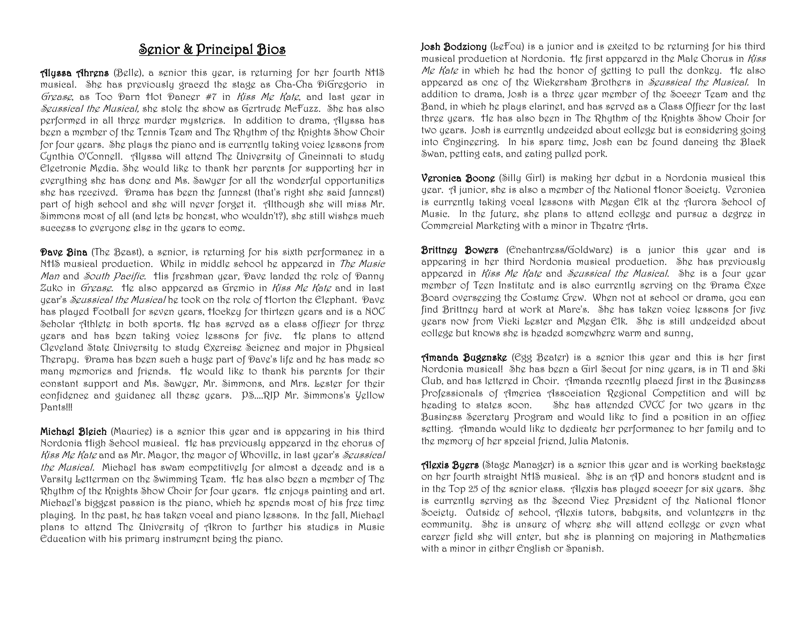## Senior & Principal Bios

Alyssa Ahrens (Belle), a senior this year, is returning for her fourth NHS musical. She has previously graced the stage as Cha-Cha DiGregorio in Grease, as Too Parn flot Paneer  $#7$  in *Riss Me Rate*, and last year in Seussical the Musical, she stole the show as Gertrude McFuzz. She has also performed in all three murder mysteries. In addition to drama, Alyssa has been a member of the Tennis Team and The Rhythm of the Knights Show Choir for four years. She plays the piano and is currently taking voice lessons from Cynthia O'Connell. Alyssa will attend The University of Cincinnati to study Electronic Media. She would like to thank her parents for supporting her in everything she has done and Ms. Sawyer for all the wonderful opportunities she has received. Drama has been the funnest (that's right she said funnest) part of high school and she will never forget it. Although she will miss Mr. Simmons most of all (and lets be honest, who wouldn't?), she still wishes much success to everyone else in the years to come.

**Dave Bina** (The Beast), a senior, is returning for his sixth performance in a NHS musical production. While in middle school he appeared in The Music Man and South Pacific. His freshman year, Dave landed the role of Danny Zuko in Grease. He also appeared as Gremio in Kiss Me Kate and in last year's Seussical the Musical he took on the role of Horton the Elephant. Dave has played Football for seven years, Hockey for thirteen years and is a NOC Scholar Athlete in both sports. He has served as a class officer for three years and has been taking voice lessons for five. He plans to attend Cleveland State University to study Exercise Science and major in Physical Therapy. Drama has been such a huge part of Dave's life and he has made so many memories and friends. He would like to thank his parents for their constant support and Ms. Sawyer, Mr. Simmons, and Mrs. Lester for their confidence and guidance all these years. PS....RIP Mr. Simmons's Yellow Pants!!!

Michael Bleich (Maurice) is a senior this year and is appearing in his third Nordonia High School musical. He has previously appeared in the chorus of Kiss Me Kate and as Mr. Mayor, the mayor of Whoville, in last year's Seussical the Musical. Michael has swam competitively for almost a decade and is a Varsity Letterman on the Swimming Team. He has also been a member of The Rhythm of the Knights Show Choir for four years. He enjoys painting and art. Michael's biggest passion is the piano, which he spends most of his free time playing. In the past, he has taken vocal and piano lessons. In the fall, Michael plans to attend The University of Akron to further his studies in Music Education with his primary instrument being the piano.

Josh Bodziony (LeFou) is a junior and is excited to be returning for his third musical production at Nordonia. He first appeared in the Male Chorus in *Riss* Me Kate in which he had the honor of getting to pull the donkey. The also appeared as one of the Wickersham Brothers in Seussical the Musical. In addition to drama, Josh is a three year member of the Soccer Team and the Band, in which he plays clarinet, and has served as a Class Officer for the last three years. He has also been in The Rhythm of the Knights Show Choir for two years. Josh is currently undecided about college but is considering going into Engineering. In his spare time, Josh can be found dancing the Black Swan, petting cats, and eating pulled pork.

Veronica Boone (Silly Girl) is making her debut in a Nordonia musical this year. A junior, she is also a member of the National Honor Society. Veronica is currently taking vocal lessons with Megan Elk at the Aurora School of Music. In the future, she plans to attend college and pursue a degree in Commercial Marketing with a minor in Theatre Arts.

**Brittney Bowers** (Enchantress/Goldware) is a junior this year and is appearing in her third Nordonia musical production. She has previously appeared in *Riss Me Rate* and *Seussical the Musical*. She is a four year member of Teen Institute and is also currently serving on the Drama Exec Board overseeing the Costume Crew. When not at school or drama, you can find Brittney hard at work at Marc's. She has taken voice lessons for five years now from Vicki Lester and Megan Elk. She is still undecided about college but knows she is headed somewhere warm and sunny,

Amanda Bugenske (Egg Beater) is a senior this year and this is her first Nordonia musical! She has been a Girl Scout for nine years, is in TI and Ski Club, and has lettered in Choir. Amanda recently placed first in the Business Professionals of America Association Regional Competition and will be heading to states soon. She has attended CVCC for two years in the Business Secretary Program and would like to find a position in an office setting. Amanda would like to dedicate her performance to her family and to the memory of her special friend, Julia Matonis.

Alexis Byers (Stage Manager) is a senior this year and is working backstage on her fourth straight NHS musical. She is an AP and honors student and is in the Top 25 of the senior class. Alexis has played soccer for six years. She is currently serving as the Second Vice President of the National Honor Society. Outside of school, Alexis tutors, babysits, and volunteers in the community. She is unsure of where she will attend college or even what career field she will enter, but she is planning on majoring in Mathematics with a minor in either English or Spanish.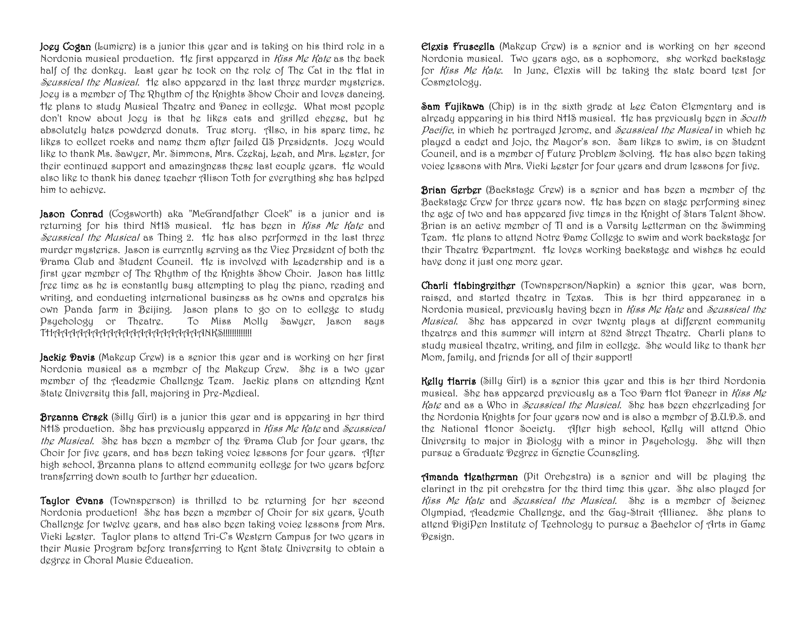Joey Cogan (Lumiere) is a junior this year and is taking on his third role in a Nordonia musical production. He first appeared in *Riss Me Rate* as the back half of the donkey. Last year he took on the role of The Cat in the Hat in Seussical the Musical. He also appeared in the last three murder mysteries. Joey is a member of The Rhythm of the Knights Show Choir and loves dancing. He plans to study Musical Theatre and Dance in college. What most people don't know about Joey is that he likes cats and grilled cheese, but he absolutely hates powdered donuts. True story. Also, in his spare time, he likes to collect rocks and name them after failed US Presidents. Joey would like to thank Ms. Sawyer, Mr. Simmons, Mrs. Czekaj, Leah, and Mrs. Lester, for their continued support and amazingness these last couple years. He would also like to thank his dance teacher Alison Toth for everything she has helped him to achieve.

Jason Conrad (Cogsworth) aka "MeGrandfather Clock" is a junior and is returning for his third NHS musical. He has been in *Riss Me Rate* and Seussical the Musical as Thing 2. He has also performed in the last three murder mysteries. Jason is currently serving as the Vice President of both the Drama Club and Student Council. He is involved with Leadership and is a first year member of The Rhythm of the Knights Show Choir. Jason has little free time as he is constantly busy attempting to play the piano, reading and writing, and conducting international business as he owns and operates his own Panda farm in Beijing. Jason plans to go on to college to study Psychology or Theatre. To Miss Molly Sawyer, Jason says THAAAAAAAAAAAAAAAAAAAANKS!!!!!!!!!!!!!

**Jackie Davis** (Makeup Crew) is a senior this year and is working on her first Nordonia musical as a member of the Makeup Crew. She is a two year member of the Academic Challenge Team. Jackie plans on attending Kent State University this fall, majoring in Pre-Medical.

**Breanna Ersek** (Silly Girl) is a junior this year and is appearing in her third NHS production. She has previously appeared in *Kiss Me Kate* and *Seussical* the Musical. She has been a member of the Drama Club for four years, the Choir for five years, and has been taking voice lessons for four years. After high school, Breanna plans to attend community college for two years before transferring down south to further her education.

Taylor Evans (Townsperson) is thrilled to be returning for her second Nordonia production! She has been a member of Choir for six years, Youth Challenge for twelve years, and has also been taking voice lessons from Mrs. Vicki Lester. Taylor plans to attend Tri-C's Western Campus for two years in their Music Program before transferring to Kent State University to obtain a degree in Choral Music Education.

Elexis Fruscella (Makeup Crew) is a senior and is working on her second Nordonia musical. Two years ago, as a sophomore, she worked backstage for *Riss Me Rate*. In June, Elexis will be taking the state board test for Cosmetology.

Sam Fujikawa (Chip) is in the sixth grade at Lee Caton Elementary and is already appearing in his third NHS musical. He has previously been in South Pacific, in which he portrayed Jerome, and Seussical the Musical in which he played a cadet and Jojo, the Mayor's son. Sam likes to swim, is on Student Council, and is a member of Future Problem Solving. He has also been taking voice lessons with Mrs. Vicki Lester for four years and drum lessons for five.

**Brian Gerber** (Backstage Crew) is a senior and has been a member of the Backstage Crew for three years now. He has been on stage performing since the age of two and has appeared five times in the Knight of Stars Talent Show. Brian is an active member of TI and is a Varsity Letterman on the Swimming Team. He plans to attend Notre Dame College to swim and work backstage for their Theatre Department. He loves working backstage and wishes he could have done it just one more year.

Charli Habingreither (Townsperson/Napkin) a senior this year, was born, raised, and started theatre in Texas. This is her third appearance in a Nordonia musical, previously having been in *Riss Me Rate* and *Seussical the* Musical. She has appeared in over twenty plays at different community theatres and this summer will intern at 82nd Street Theatre. Charli plans to study musical theatre, writing, and film in college. She would like to thank her Mom, family, and friends for all of their support!

Kelly Harris (Silly Girl) is a senior this year and this is her third Nordonia musical. She has appeared previously as a Too Darn Hot Dancer in Kiss Me Kate and as a Who in Seussical the Musical. She has been cheerleading for the Nordonia Knights for four years now and is also a member of B.U.D.S. and the National Honor Society. After high school, Kelly will attend Ohio University to major in Biology with a minor in Psychology. She will then pursue a Graduate Degree in Genetic Counseling.

Amanda Heatherman (Pit Orchestra) is a senior and will be playing the clarinet in the pit orchestra for the third time this year. She also played for Riss Me Rate and Seussical the Musical. She is a member of Science Olympiad, Academic Challenge, and the Gay-Strait Alliance. She plans to attend DigiPen Institute of Technology to pursue a Bachelor of Arts in Game Design.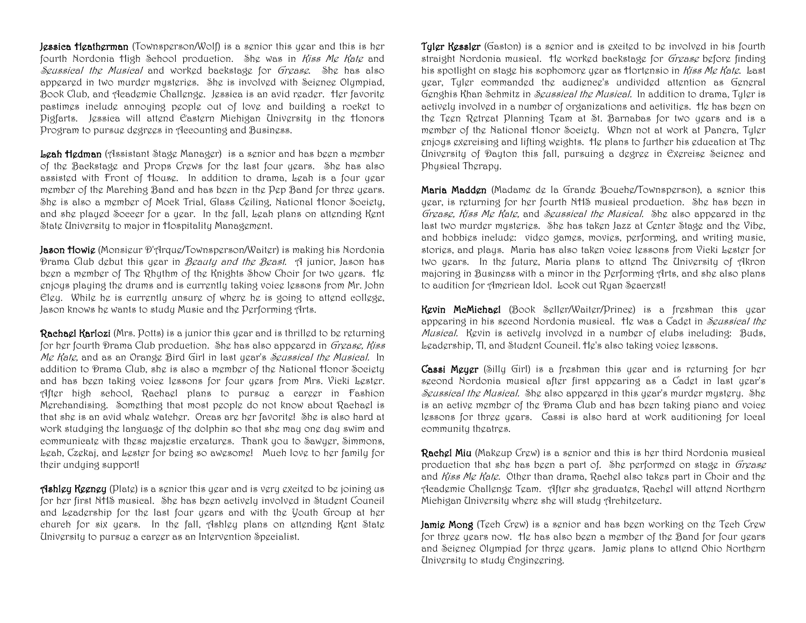**Jessica Heatherman** (Townsperson/Wolf) is a senior this year and this is her fourth Nordonia High School production. She was in *Riss Me Rate* and Seussical the Musical and worked backstage for Grease. She has also appeared in two murder mysteries. She is involved with Science Olympiad, Book Club, and Academic Challenge. Jessica is an avid reader. Her favorite pastimes include annoying people out of love and building a rocket to Pigfarts. Jessica will attend Eastern Michigan University in the Honors Program to pursue degrees in Accounting and Business.

Leah Hedman (Assistant Stage Manager) is a senior and has been a member of the Backstage and Props Crews for the last four years. She has also assisted with Front of House. In addition to drama, Leah is a four year member of the Marching Band and has been in the Pep Band for three years. She is also a member of Mock Trial, Glass Ceiling, National Honor Society, and she played Soccer for a year. In the fall, Leah plans on attending Kent State University to major in Hospitality Management.

Jason Howig (Monsigur D'Arque/Townsperson/Waiter) is making his Nordonia Prama Club debut this year in *Beauty and the Beast*. A junior, Jason has been a member of The Rhythm of the Knights Show Choir for two years. He enjoys playing the drums and is currently taking voice lessons from Mr. John Eley. While he is currently unsure of where he is going to attend college, Jason knows he wants to study Music and the Performing Arts.

**Rachael Karlozi** (Mrs. Potts) is a junior this year and is thrilled to be returning for her fourth Drama Club production. She has also appeared in Grease, Riss Me Kate, and as an Orange Bird Girl in last year's Seussical the Musical. In addition to Drama Club, she is also a member of the National Honor Society and has been taking voice lessons for four years from Mrs. Vicki Lester. After high school, Rachael plans to pursue a career in Fashion Merchandising. Something that most people do not know about Rachael is that she is an avid whale watcher. Orcas are her favorite! She is also hard at work studying the language of the dolphin so that she may one day swim and communicate with these majestic creatures. Thank you to Sawyer, Simmons, Leah, Czekaj, and Lester for being so awesome! Much love to her family for their undying support!

**Ashley Keeney** (Plate) is a senior this year and is very excited to be joining us for her first NHS musical. She has been actively involved in Student Council and Leadership for the last four years and with the Youth Group at her church for six years. In the fall, Ashley plans on attending Kent State University to pursue a career as an Intervention Specialist.

**Tyler Ressler** (Gaston) is a senior and is excited to be involved in his fourth straight Nordonia musical. He worked backstage for Grease before finding his spotlight on stage his sophomore year as Hortensio in Kiss Me Kate. Last year, Tyler commanded the audience's undivided attention as General Genghis Khan Schmitz in *Seussical the Musical*. In addition to drama, Tyler is actively involved in a number of organizations and activities. He has been on the Teen Retreat Planning Team at St. Barnabas for two years and is a member of the National Honor Society. When not at work at Panera, Tyler enjoys exercising and lifting weights. He plans to further his education at The University of Dayton this fall, pursuing a degree in Exercise Science and Physical Therapy.

Maria Madden (Madame de la Grande Bouche/Townsperson), a senior this year, is returning for her fourth NHS musical production. She has been in Grease, Riss Me Rate, and Seussical the Musical. She also appeared in the last two murder mysteries. She has taken Jazz at Center Stage and the Vibe, and hobbies include: video games, movies, performing, and writing music, stories, and plays. Maria has also taken voice lessons from Vicki Lester for two years. In the future, Maria plans to attend The University of Akron majoring in Business with a minor in the Performing Arts, and she also plans to audition for American Idol. Look out Ryan Seacrest!

Kevin McMichael (Book Seller/Waiter/Prince) is a freshman this year appearing in his second Nordonia musical. He was a Cadet in Seussical the Musical. Kevin is actively involved in a number of clubs including: Buds, Leadership, TI, and Student Council. He's also taking voice lessons.

**Cassi Meyer** (Silly Girl) is a freshman this year and is returning for her second Nordonia musical after first appearing as a Cadet in last year's Seussical the Musical. She also appeared in this year's murder mystery. She is an active member of the Drama Club and has been taking piano and voice lessons for three years. Cassi is also hard at work auditioning for local community theatres.

Rachel Miu (Makeup Crew) is a senior and this is her third Nordonia musical production that she has been a part of. She performed on stage in Grease and *Riss Me Rate*. Other than drama, Rachel also takes part in Choir and the Academic Challenge Team. After she graduates, Rachel will attend Northern Michigan University where she will study Architecture.

Jamig Mong (Tech Crew) is a senior and has been working on the Tech Crew for three years now. He has also been a member of the Band for four years and Science Olympiad for three years. Jamie plans to attend Ohio Northern University to study Engineering.